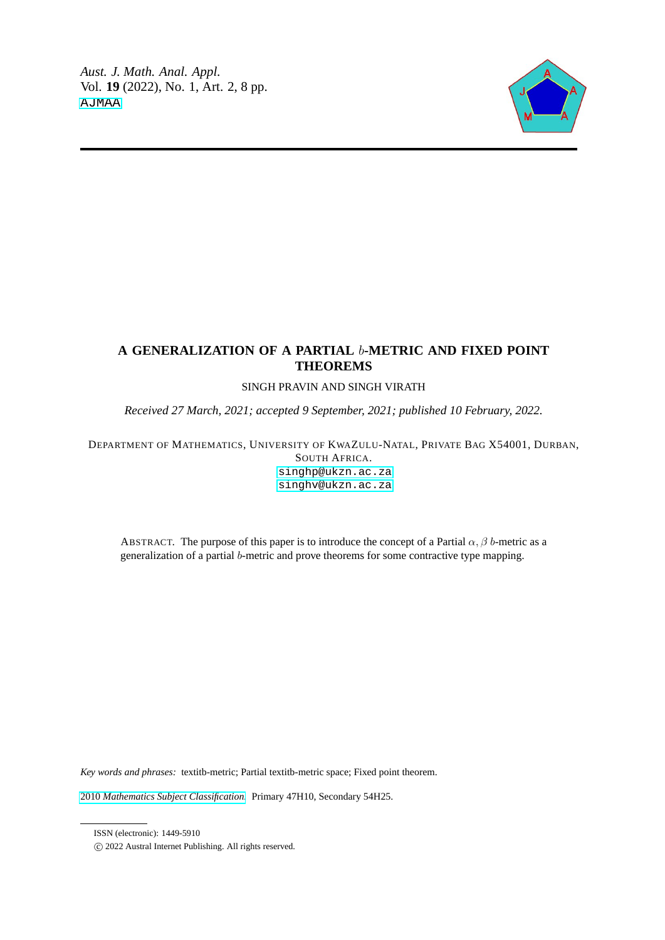

# **A GENERALIZATION OF A PARTIAL** b**-METRIC AND FIXED POINT THEOREMS**

# SINGH PRAVIN AND SINGH VIRATH

*Received 27 March, 2021; accepted 9 September, 2021; published 10 February, 2022.*

DEPARTMENT OF MATHEMATICS, UNIVERSITY OF KWAZULU-NATAL, PRIVATE BAG X54001, DURBAN, SOUTH AFRICA.

[singhp@ukzn.ac.za](mailto: <singhp@ukzn.ac.za>) [singhv@ukzn.ac.za](mailto: <singhv@ukzn.ac.za)

ABSTRACT. The purpose of this paper is to introduce the concept of a Partial  $\alpha$ ,  $\beta$  b-metric as a generalization of a partial b-metric and prove theorems for some contractive type mapping.

*Key words and phrases:* textitb-metric; Partial textitb-metric space; Fixed point theorem.

2010 *[Mathematics Subject Classification.](https://www.ams.org/msc/)* Primary 47H10, Secondary 54H25.

ISSN (electronic): 1449-5910

c 2022 Austral Internet Publishing. All rights reserved.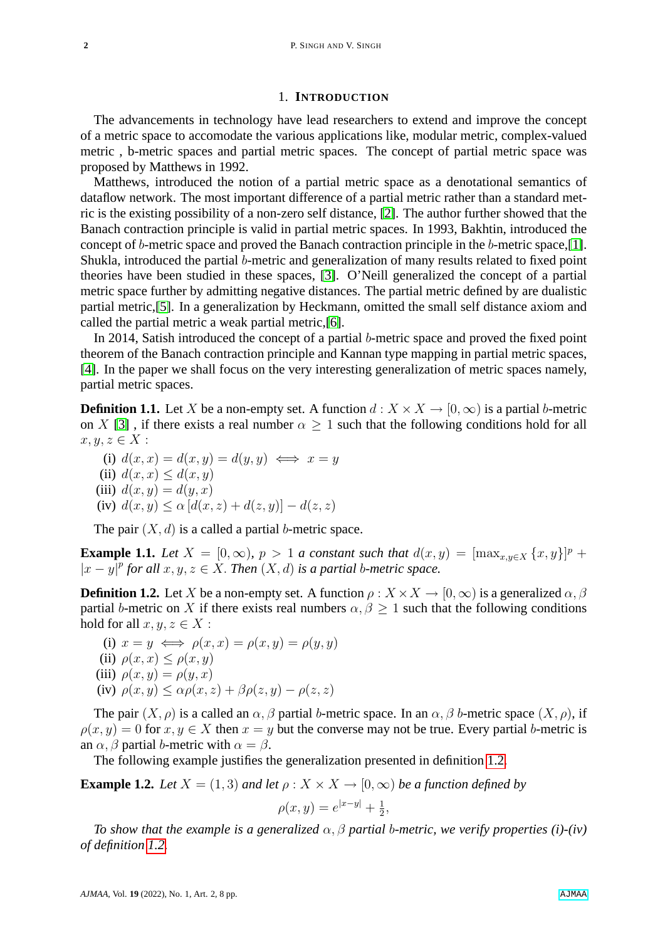### 1. **INTRODUCTION**

The advancements in technology have lead researchers to extend and improve the concept of a metric space to accomodate the various applications like, modular metric, complex-valued metric , b-metric spaces and partial metric spaces. The concept of partial metric space was proposed by Matthews in 1992.

Matthews, introduced the notion of a partial metric space as a denotational semantics of dataflow network. The most important difference of a partial metric rather than a standard metric is the existing possibility of a non-zero self distance, [\[2\]](#page-7-0). The author further showed that the Banach contraction principle is valid in partial metric spaces. In 1993, Bakhtin, introduced the concept of b-metric space and proved the Banach contraction principle in the b-metric space,[\[1\]](#page-7-1). Shukla, introduced the partial b-metric and generalization of many results related to fixed point theories have been studied in these spaces, [\[3\]](#page-7-2). O'Neill generalized the concept of a partial metric space further by admitting negative distances. The partial metric defined by are dualistic partial metric,[\[5\]](#page-7-3). In a generalization by Heckmann, omitted the small self distance axiom and called the partial metric a weak partial metric,[\[6\]](#page-7-4).

In 2014, Satish introduced the concept of a partial b-metric space and proved the fixed point theorem of the Banach contraction principle and Kannan type mapping in partial metric spaces, [\[4\]](#page-7-5). In the paper we shall focus on the very interesting generalization of metric spaces namely, partial metric spaces.

**Definition 1.1.** Let X be a non-empty set. A function  $d: X \times X \rightarrow [0, \infty)$  is a partial b-metric on X [\[3\]](#page-7-2), if there exists a real number  $\alpha \geq 1$  such that the following conditions hold for all  $x, y, z \in X$ :

(i)  $d(x, x) = d(x, y) = d(y, y) \iff x = y$ (ii)  $d(x, x) \leq d(x, y)$ (iii)  $d(x, y) = d(y, x)$ (iv)  $d(x, y) \leq \alpha [d(x, z) + d(z, y)] - d(z, z)$ 

The pair  $(X, d)$  is a called a partial b-metric space.

**Example 1.1.** *Let*  $X = [0, \infty)$ ,  $p > 1$  *a constant such that*  $d(x, y) = [\max_{x, y \in X} \{x, y\}]^p$  +  $|x-y|^p$  for all  $x, y, z \in X$ . Then  $(X, d)$  is a partial b-metric space.

<span id="page-1-0"></span>**Definition 1.2.** Let X be a non-empty set. A function  $\rho: X \times X \to [0, \infty)$  is a generalized  $\alpha, \beta$ partial b-metric on X if there exists real numbers  $\alpha, \beta \geq 1$  such that the following conditions hold for all  $x, y, z \in X$ :

(i)  $x = y \iff \rho(x, x) = \rho(x, y) = \rho(y, y)$ (ii)  $\rho(x, x) \leq \rho(x, y)$ (iii)  $\rho(x, y) = \rho(y, x)$ (iv)  $\rho(x, y) < \alpha \rho(x, z) + \beta \rho(z, y) - \rho(z, z)$ 

The pair  $(X, \rho)$  is a called an  $\alpha$ ,  $\beta$  partial b-metric space. In an  $\alpha$ ,  $\beta$  b-metric space  $(X, \rho)$ , if  $\rho(x, y) = 0$  for  $x, y \in X$  then  $x = y$  but the converse may not be true. Every partial b-metric is an  $\alpha$ ,  $\beta$  partial b-metric with  $\alpha = \beta$ .

The following example justifies the generalization presented in definition [1.2.](#page-1-0)

**Example 1.2.** *Let*  $X = (1, 3)$  *and let*  $\rho : X \times X \rightarrow [0, \infty)$  *be a function defined by* 

$$
\rho(x, y) = e^{|x-y|} + \frac{1}{2},
$$

*To show that the example is a generalized*  $\alpha$ ,  $\beta$  *partial b-metric, we verify properties (i)-(iv) of definition [1.2.](#page-1-0)*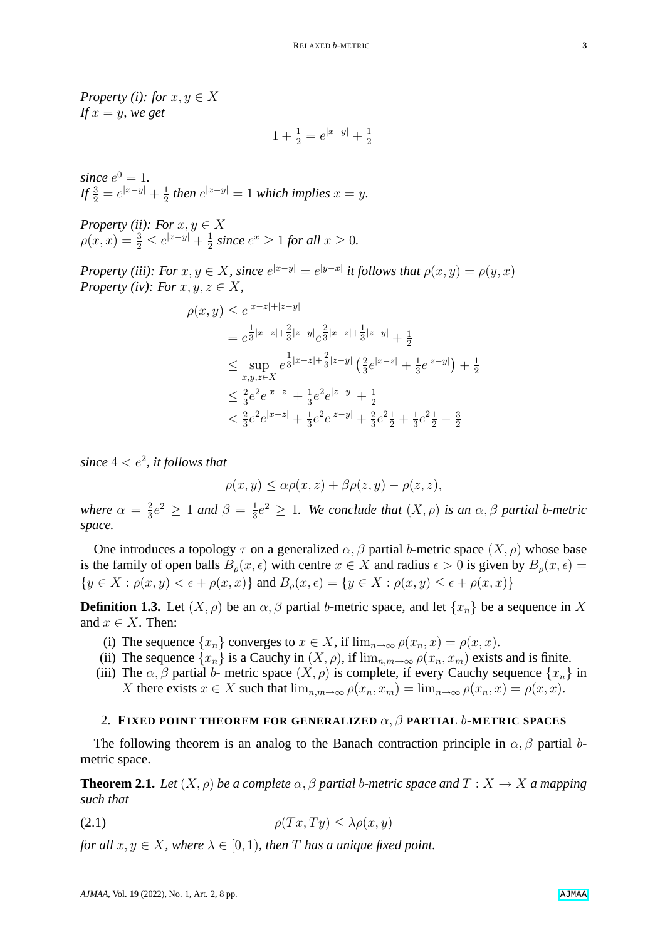*Property (i): for*  $x, y \in X$ *If*  $x = y$ *, we get* 

$$
1 + \frac{1}{2} = e^{|x-y|} + \frac{1}{2}
$$

*since*  $e^0 = 1$ *.*  $If \frac{3}{2} = e^{|x-y|} + \frac{1}{2}$  $\frac{1}{2}$  then  $e^{|x-y|} = 1$  which implies  $x = y$ .

*Property (ii): For*  $x, y \in X$  $\rho(x, x) = \frac{3}{2} \leq e^{|x-y|} + \frac{1}{2}$  $\frac{1}{2}$  *since*  $e^x \ge 1$  *for all*  $x \ge 0$ *.* 

*Property (iii): For*  $x, y \in X$ *, since*  $e^{|x-y|} = e^{|y-x|}$  *it follows that*  $\rho(x, y) = \rho(y, x)$ *Property (iv): For*  $x, y, z \in X$ ,

$$
\rho(x,y) \le e^{|x-z|+|z-y|}
$$
  
=  $e^{\frac{1}{3}|x-z|+\frac{2}{3}|z-y|}e^{\frac{2}{3}|x-z|+\frac{1}{3}|z-y|} + \frac{1}{2}$   

$$
\le \sup_{x,y,z \in X} e^{\frac{1}{3}|x-z|+\frac{2}{3}|z-y|} (\frac{2}{3}e^{|x-z|} + \frac{1}{3}e^{|z-y|}) + \frac{1}{2}
$$
  

$$
\le \frac{2}{3}e^2e^{|x-z|} + \frac{1}{3}e^2e^{|z-y|} + \frac{1}{2}
$$
  

$$
< \frac{2}{3}e^2e^{|x-z|} + \frac{1}{3}e^2e^{|z-y|} + \frac{2}{3}e^2\frac{1}{2} + \frac{1}{3}e^2\frac{1}{2} - \frac{3}{2}
$$

since  $4 < e^2$ , it follows that

$$
\rho(x, y) \le \alpha \rho(x, z) + \beta \rho(z, y) - \rho(z, z),
$$

*where*  $\alpha = \frac{2}{3}$  $\frac{2}{3}e^2 \geq 1$  and  $\beta = \frac{1}{3}$  $\frac{1}{3}e^2 \geq 1$ . We conclude that  $(X, \rho)$  is an  $\alpha, \beta$  partial b-metric *space.*

One introduces a topology  $\tau$  on a generalized  $\alpha$ ,  $\beta$  partial b-metric space  $(X, \rho)$  whose base is the family of open balls  $B_0(x, \epsilon)$  with centre  $x \in X$  and radius  $\epsilon > 0$  is given by  $B_0(x, \epsilon) =$  ${y \in X : \rho(x, y) < \epsilon + \rho(x, x)}$  and  $\overline{B_{\rho}(x, \epsilon)} = {y \in X : \rho(x, y) \le \epsilon + \rho(x, x)}$ 

**Definition 1.3.** Let  $(X, \rho)$  be an  $\alpha$ ,  $\beta$  partial b-metric space, and let  $\{x_n\}$  be a sequence in X and  $x \in X$ . Then:

- (i) The sequence  $\{x_n\}$  converges to  $x \in X$ , if  $\lim_{n\to\infty} \rho(x_n, x) = \rho(x, x)$ .
- (ii) The sequence  $\{x_n\}$  is a Cauchy in  $(X, \rho)$ , if  $\lim_{n,m\to\infty} \rho(x_n, x_m)$  exists and is finite.
- (iii) The  $\alpha$ ,  $\beta$  partial b- metric space  $(X, \rho)$  is complete, if every Cauchy sequence  $\{x_n\}$  in X there exists  $x \in X$  such that  $\lim_{n,m \to \infty} \rho(x_n, x_m) = \lim_{n \to \infty} \rho(x_n, x) = \rho(x, x)$ .

#### 2. **FIXED POINT THEOREM FOR GENERALIZED** α, β **PARTIAL** b**-METRIC SPACES**

The following theorem is an analog to the Banach contraction principle in  $\alpha$ ,  $\beta$  partial bmetric space.

**Theorem 2.1.** *Let*  $(X, \rho)$  *be a complete*  $\alpha, \beta$  *partial b-metric space and*  $T : X \rightarrow X$  *a mapping such that*

<span id="page-2-0"></span>
$$
\rho(Tx, Ty) \le \lambda \rho(x, y)
$$

*for all*  $x, y \in X$ *, where*  $\lambda \in [0, 1)$ *, then* T *has a unique fixed point.*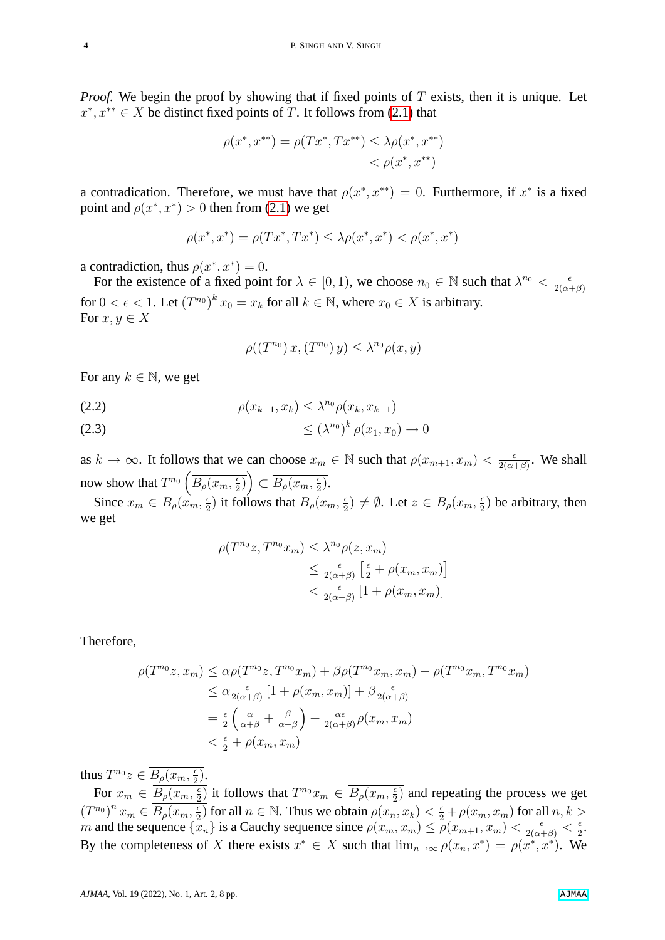*Proof.* We begin the proof by showing that if fixed points of T exists, then it is unique. Let  $x^*, x^{**} \in X$  be distinct fixed points of T. It follows from [\(2.1\)](#page-2-0) that

$$
\rho(x^*, x^{**}) = \rho(Tx^*, Tx^{**}) \le \lambda \rho(x^*, x^{**}) \n< \rho(x^*, x^{**})
$$

a contradication. Therefore, we must have that  $\rho(x^*, x^{**}) = 0$ . Furthermore, if  $x^*$  is a fixed point and  $\rho(x^*, x^*) > 0$  then from [\(2.1\)](#page-2-0) we get

$$
\rho(x^*,x^*) = \rho(Tx^*,Tx^*) \leq \lambda \rho(x^*,x^*) < \rho(x^*,x^*)
$$

a contradiction, thus  $\rho(x^*, x^*) = 0$ .

For the existence of a fixed point for  $\lambda \in [0,1)$ , we choose  $n_0 \in \mathbb{N}$  such that  $\lambda^{n_0} < \frac{\epsilon}{2(\alpha - 1)}$  $2(\alpha+\beta)$ for  $0 < \epsilon < 1$ . Let  $(T^{n_0})^k x_0 = x_k$  for all  $k \in \mathbb{N}$ , where  $x_0 \in X$  is arbitrary. For  $x, y \in X$ 

$$
\rho((T^{n_0})x,(T^{n_0})y) \leq \lambda^{n_0} \rho(x,y)
$$

For any  $k \in \mathbb{N}$ , we get

(2.2) 
$$
\rho(x_{k+1}, x_k) \leq \lambda^{n_0} \rho(x_k, x_{k-1})
$$

$$
\leq (\lambda^{n_0})^k \rho(x_1, x_0) \to 0
$$

as  $k \to \infty$ . It follows that we can choose  $x_m \in \mathbb{N}$  such that  $\rho(x_{m+1}, x_m) < \frac{\epsilon}{2(\alpha - 1)}$  $rac{\epsilon}{2(\alpha+\beta)}$ . We shall now show that  $T^{n_0} \left( \overline{B_\rho(x_m, \frac{\epsilon}{2})} \right)$  $\left(\frac{\epsilon}{2}\right)$   $\subset \overline{B_\rho(x_m, \frac{\epsilon}{2})}$  $\frac{\epsilon}{2}$ .

Since  $x_m \in B_\rho(x_m, \frac{\epsilon}{2})$  $\frac{\epsilon}{2}$ ) it follows that  $B_{\rho}(x_m, \frac{\epsilon}{2})$  $(\frac{\epsilon}{2}) \neq \emptyset$ . Let  $z \in B_{\rho}(x_m, \frac{\epsilon}{2})$  $\frac{\epsilon}{2}$ ) be arbitrary, then we get

$$
\rho(T^{n_0}z, T^{n_0}x_m) \leq \lambda^{n_0}\rho(z, x_m)
$$
  

$$
\leq \frac{\epsilon}{2(\alpha+\beta)} \left[\frac{\epsilon}{2} + \rho(x_m, x_m)\right]
$$
  

$$
< \frac{\epsilon}{2(\alpha+\beta)} [1 + \rho(x_m, x_m)]
$$

Therefore,

$$
\rho(T^{n_0}z, x_m) \leq \alpha \rho(T^{n_0}z, T^{n_0}x_m) + \beta \rho(T^{n_0}x_m, x_m) - \rho(T^{n_0}x_m, T^{n_0}x_m)
$$
  
\n
$$
\leq \alpha \frac{\epsilon}{2(\alpha+\beta)} [1 + \rho(x_m, x_m)] + \beta \frac{\epsilon}{2(\alpha+\beta)}
$$
  
\n
$$
= \frac{\epsilon}{2} \left( \frac{\alpha}{\alpha+\beta} + \frac{\beta}{\alpha+\beta} \right) + \frac{\alpha \epsilon}{2(\alpha+\beta)} \rho(x_m, x_m)
$$
  
\n
$$
< \frac{\epsilon}{2} + \rho(x_m, x_m)
$$

thus  $T^{n_0}z \in \overline{B_\rho(x_m,\frac{\epsilon}{2})}$  $\frac{\epsilon}{2}).$ 

For  $x_m \in \overline{B_\rho(x_m, \frac{\epsilon}{2})}$  $\frac{\epsilon}{2}$ ) it follows that  $T^{n_0}x_m \in \overline{B_\rho(x_m, \frac{\epsilon}{2})}$  $\frac{\epsilon}{2}$ ) and repeating the process we get  $(T^{n_0})^n x_m \in \overline{B_\rho(x_m, \frac{\epsilon}{2})}$  $\frac{2}{2}$  for all  $n \in \mathbb{N}$ . Thus we obtain  $\rho(x_n, x_k) < \frac{2}{2} + \rho(x_m, x_m)$  for all  $n, k >$ m and the sequence  $\{x_n\}$  is a Cauchy sequence since  $\rho(x_m, x_m) \leq \rho(x_{m+1}, x_m) < \frac{\epsilon}{2(\alpha+\beta)} < \frac{\epsilon}{2}$  $rac{\epsilon}{2}$ . By the completeness of X there exists  $x^* \in X$  such that  $\lim_{n\to\infty} \rho(x_n, x^*) = \rho(x^*, x^*)$ . We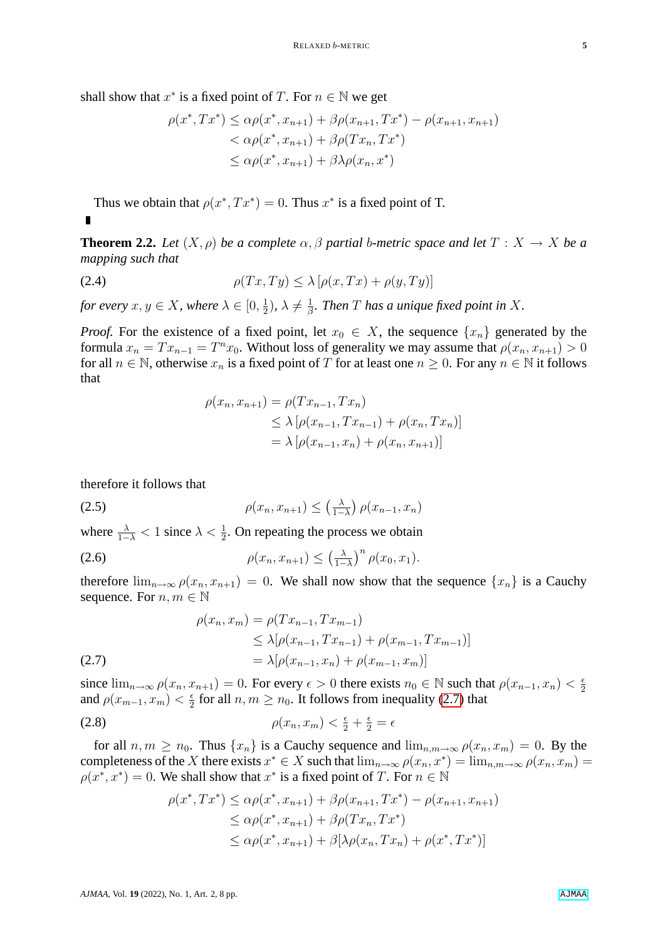shall show that  $x^*$  is a fixed point of T. For  $n \in \mathbb{N}$  we get

$$
\rho(x^*, Tx^*) \leq \alpha \rho(x^*, x_{n+1}) + \beta \rho(x_{n+1}, Tx^*) - \rho(x_{n+1}, x_{n+1})
$$
  

$$
< \alpha \rho(x^*, x_{n+1}) + \beta \rho(Tx_n, Tx^*)
$$
  

$$
\leq \alpha \rho(x^*, x_{n+1}) + \beta \lambda \rho(x_n, x^*)
$$

Thus we obtain that  $\rho(x^*, Tx^*) = 0$ . Thus  $x^*$  is a fixed point of T.

**Theorem 2.2.** Let  $(X, \rho)$  be a complete  $\alpha, \beta$  partial b-metric space and let  $T : X \to X$  be a *mapping such that*

<span id="page-4-1"></span>
$$
\rho(Tx, Ty) \le \lambda \left[ \rho(x, Tx) + \rho(y, Ty) \right]
$$

*for every*  $x, y \in X$ *, where*  $\lambda \in [0, \frac{1}{2}]$  $(\frac{1}{2}), \lambda \neq \frac{1}{\beta}$  $\frac{1}{\beta}$ . Then  $T$  has a unique fixed point in  $X$ .

*Proof.* For the existence of a fixed point, let  $x_0 \in X$ , the sequence  $\{x_n\}$  generated by the formula  $x_n = Tx_{n-1} = T^n x_0$ . Without loss of generality we may assume that  $\rho(x_n, x_{n+1}) > 0$ for all  $n \in \mathbb{N}$ , otherwise  $x_n$  is a fixed point of T for at least one  $n \geq 0$ . For any  $n \in \mathbb{N}$  it follows that

$$
\rho(x_n, x_{n+1}) = \rho(Tx_{n-1}, Tx_n)
$$
  
\n
$$
\leq \lambda [\rho(x_{n-1}, Tx_{n-1}) + \rho(x_n, Tx_n)]
$$
  
\n
$$
= \lambda [\rho(x_{n-1}, x_n) + \rho(x_n, x_{n+1})]
$$

therefore it follows that

$$
\rho(x_n, x_{n+1}) \le \left(\frac{\lambda}{1-\lambda}\right) \rho(x_{n-1}, x_n)
$$

where  $\frac{\lambda}{1-\lambda}$  < 1 since  $\lambda < \frac{1}{2}$ . On repeating the process we obtain

$$
\rho(x_n, x_{n+1}) \leq \left(\frac{\lambda}{1-\lambda}\right)^n \rho(x_0, x_1).
$$

therefore  $\lim_{n\to\infty}\rho(x_n, x_{n+1}) = 0$ . We shall now show that the sequence  $\{x_n\}$  is a Cauchy sequence. For  $n, m \in \mathbb{N}$ 

(2.7) 
$$
\rho(x_n, x_m) = \rho(Tx_{n-1}, Tx_{m-1})
$$

$$
\leq \lambda [\rho(x_{n-1}, Tx_{n-1}) + \rho(x_{m-1}, Tx_{m-1})]
$$

$$
= \lambda [\rho(x_{n-1}, x_n) + \rho(x_{m-1}, x_m)]
$$

<span id="page-4-0"></span>since  $\lim_{n\to\infty}\rho(x_n, x_{n+1}) = 0$ . For every  $\epsilon > 0$  there exists  $n_0 \in \mathbb{N}$  such that  $\rho(x_{n-1}, x_n) < \frac{\epsilon}{2}$ 2 and  $\rho(x_{m-1}, x_m) < \frac{\epsilon}{2}$  $\frac{\epsilon}{2}$  for all  $n, m \geq n_0$ . It follows from inequality [\(2.7\)](#page-4-0) that

$$
\rho(x_n, x_m) < \frac{\epsilon}{2} + \frac{\epsilon}{2} = \epsilon
$$

for all  $n, m \geq n_0$ . Thus  $\{x_n\}$  is a Cauchy sequence and  $\lim_{n,m\to\infty} \rho(x_n, x_m) = 0$ . By the completeness of the X there exists  $x^* \in X$  such that  $\lim_{n\to\infty} \rho(x_n, x^*) = \lim_{n,m\to\infty} \rho(x_n, x_m) =$  $\rho(x^*, x^*) = 0$ . We shall show that  $x^*$  is a fixed point of T. For  $n \in \mathbb{N}$ 

$$
\rho(x^*, Tx^*) \leq \alpha \rho(x^*, x_{n+1}) + \beta \rho(x_{n+1}, Tx^*) - \rho(x_{n+1}, x_{n+1})
$$
  
\n
$$
\leq \alpha \rho(x^*, x_{n+1}) + \beta \rho(Tx_n, Tx^*)
$$
  
\n
$$
\leq \alpha \rho(x^*, x_{n+1}) + \beta [\lambda \rho(x_n, Tx_n) + \rho(x^*, Tx^*)]
$$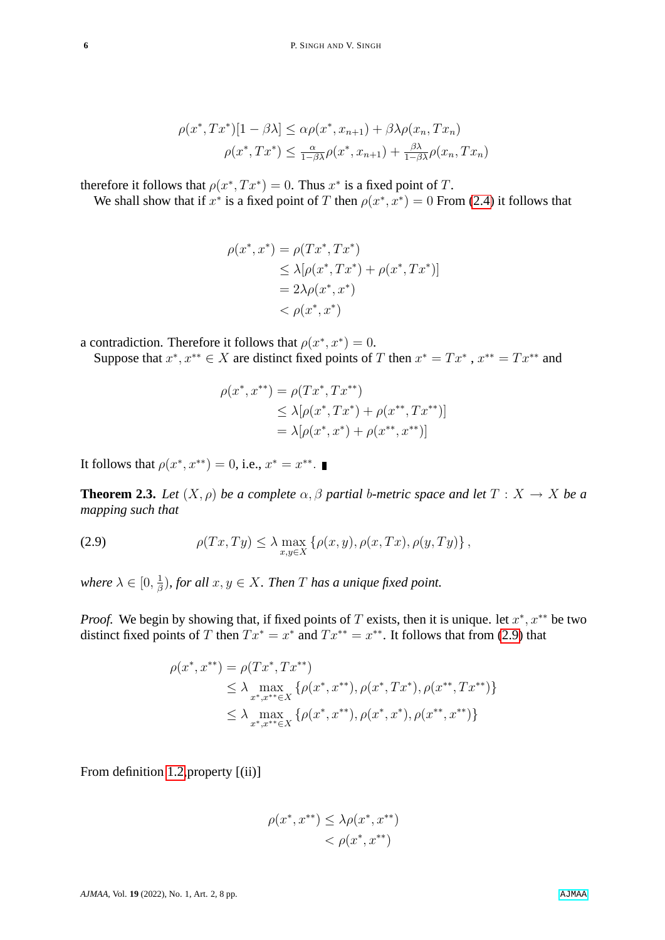$$
\rho(x^*, Tx^*)[1 - \beta \lambda] \leq \alpha \rho(x^*, x_{n+1}) + \beta \lambda \rho(x_n, Tx_n)
$$

$$
\rho(x^*, Tx^*) \leq \frac{\alpha}{1 - \beta \lambda} \rho(x^*, x_{n+1}) + \frac{\beta \lambda}{1 - \beta \lambda} \rho(x_n, Tx_n)
$$

therefore it follows that  $\rho(x^*, Tx^*) = 0$ . Thus  $x^*$  is a fixed point of T.

We shall show that if  $x^*$  is a fixed point of T then  $\rho(x^*, x^*) = 0$  From [\(2.4\)](#page-4-1) it follows that

$$
\rho(x^*, x^*) = \rho(Tx^*, Tx^*)
$$
  
\n
$$
\leq \lambda[\rho(x^*, Tx^*) + \rho(x^*, Tx^*)]
$$
  
\n
$$
= 2\lambda\rho(x^*, x^*)
$$
  
\n
$$
< \rho(x^*, x^*)
$$

a contradiction. Therefore it follows that  $\rho(x^*, x^*) = 0$ .

Suppose that  $x^*$ ,  $x^{**} \in X$  are distinct fixed points of T then  $x^* = Tx^*$ ,  $x^{**} = Tx^{**}$  and

$$
\rho(x^*, x^{**}) = \rho(Tx^*, Tx^{**})
$$
  
\n
$$
\leq \lambda[\rho(x^*, Tx^*) + \rho(x^{**}, Tx^{**})]
$$
  
\n
$$
= \lambda[\rho(x^*, x^*) + \rho(x^{**}, x^{**})]
$$

It follows that  $\rho(x^*, x^{**}) = 0$ , i.e.,  $x^* = x^{**}$ .

**Theorem 2.3.** Let  $(X, \rho)$  be a complete  $\alpha, \beta$  partial b-metric space and let  $T : X \to X$  be a *mapping such that*

<span id="page-5-0"></span>(2.9) 
$$
\rho(Tx,Ty) \leq \lambda \max_{x,y \in X} \left\{ \rho(x,y), \rho(x,Tx), \rho(y,Ty) \right\},
$$

*where*  $\lambda \in [0, \frac{1}{4}]$  $\frac{1}{\beta}$ ), for all  $x, y \in X$ . Then  $T$  has a unique fixed point.

*Proof.* We begin by showing that, if fixed points of T exists, then it is unique. let  $x^*$ ,  $x^{**}$  be two distinct fixed points of T then  $Tx^* = x^*$  and  $Tx^{**} = x^{**}$ . It follows that from [\(2.9\)](#page-5-0) that

$$
\rho(x^*, x^{**}) = \rho(Tx^*, Tx^{**})
$$
  
\n
$$
\leq \lambda \max_{x^*, x^{**} \in X} \{ \rho(x^*, x^{**}), \rho(x^*, Tx^*), \rho(x^{**}, Tx^{**}) \}
$$
  
\n
$$
\leq \lambda \max_{x^*, x^{**} \in X} \{ \rho(x^*, x^{**}), \rho(x^*, x^*), \rho(x^{**}, x^{**}) \}
$$

From definition [1.2,](#page-1-0)property [(ii)]

$$
\rho(x^*, x^{**}) \le \lambda \rho(x^*, x^{**}) < \rho(x^*, x^{**})
$$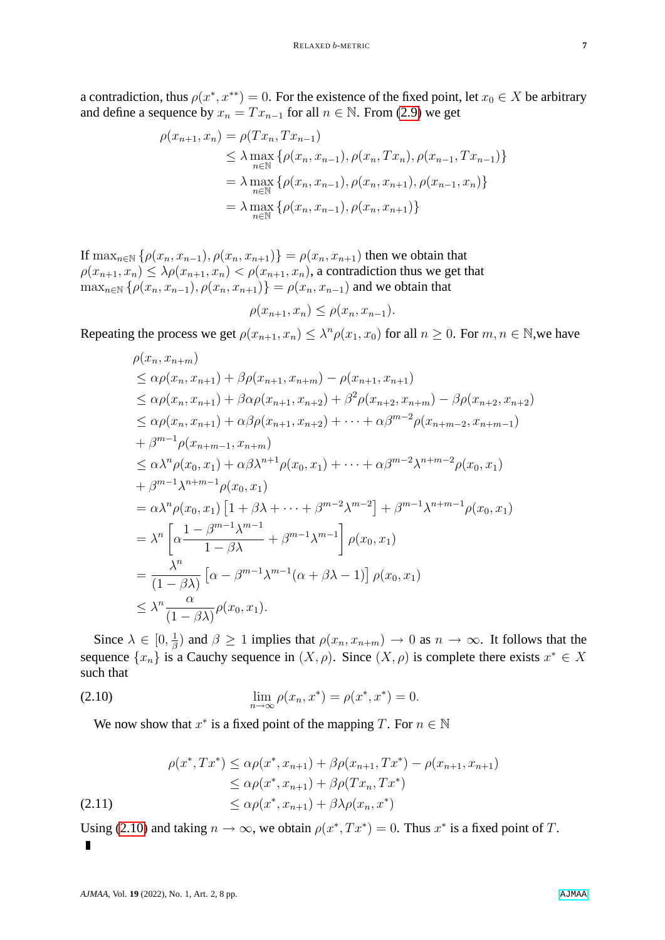a contradiction, thus  $\rho(x^*, x^{**}) = 0$ . For the existence of the fixed point, let  $x_0 \in X$  be arbitrary and define a sequence by  $x_n = Tx_{n-1}$  for all  $n \in \mathbb{N}$ . From [\(2.9\)](#page-5-0) we get

$$
\rho(x_{n+1}, x_n) = \rho(Tx_n, Tx_{n-1})
$$
  
\n
$$
\leq \lambda \max_{n \in \mathbb{N}} \{ \rho(x_n, x_{n-1}), \rho(x_n, Tx_n), \rho(x_{n-1}, Tx_{n-1}) \}
$$
  
\n
$$
= \lambda \max_{n \in \mathbb{N}} \{ \rho(x_n, x_{n-1}), \rho(x_n, x_{n+1}), \rho(x_{n-1}, x_n) \}
$$
  
\n
$$
= \lambda \max_{n \in \mathbb{N}} \{ \rho(x_n, x_{n-1}), \rho(x_n, x_{n+1}) \}
$$

If  $\max_{n\in\mathbb{N}} \{\rho(x_n, x_{n-1}), \rho(x_n, x_{n+1})\} = \rho(x_n, x_{n+1})$  then we obtain that  $\rho(x_{n+1}, x_n) \leq \lambda \rho(x_{n+1}, x_n) < \rho(x_{n+1}, x_n)$ , a contradiction thus we get that  $\max_{n\in\mathbb{N}} \{\rho(x_n, x_{n-1}), \rho(x_n, x_{n+1})\} = \rho(x_n, x_{n-1})$  and we obtain that

$$
\rho(x_{n+1}, x_n) \le \rho(x_n, x_{n-1}).
$$

Repeating the process we get  $\rho(x_{n+1}, x_n) \leq \lambda^n \rho(x_1, x_0)$  for all  $n \geq 0$ . For  $m, n \in \mathbb{N}$ , we have

$$
\rho(x_n, x_{n+m})
$$
\n
$$
\leq \alpha \rho(x_n, x_{n+1}) + \beta \rho(x_{n+1}, x_{n+m}) - \rho(x_{n+1}, x_{n+1})
$$
\n
$$
\leq \alpha \rho(x_n, x_{n+1}) + \beta \alpha \rho(x_{n+1}, x_{n+2}) + \beta^2 \rho(x_{n+2}, x_{n+m}) - \beta \rho(x_{n+2}, x_{n+2})
$$
\n
$$
\leq \alpha \rho(x_n, x_{n+1}) + \alpha \beta \rho(x_{n+1}, x_{n+2}) + \cdots + \alpha \beta^{m-2} \rho(x_{n+m-2}, x_{n+m-1})
$$
\n
$$
+ \beta^{m-1} \rho(x_{n+m-1}, x_{n+m})
$$
\n
$$
\leq \alpha \lambda^n \rho(x_0, x_1) + \alpha \beta \lambda^{n+1} \rho(x_0, x_1) + \cdots + \alpha \beta^{m-2} \lambda^{n+m-2} \rho(x_0, x_1)
$$
\n
$$
+ \beta^{m-1} \lambda^{n+m-1} \rho(x_0, x_1)
$$
\n
$$
= \alpha \lambda^n \rho(x_0, x_1) \left[1 + \beta \lambda + \cdots + \beta^{m-2} \lambda^{m-2}\right] + \beta^{m-1} \lambda^{n+m-1} \rho(x_0, x_1)
$$
\n
$$
= \lambda^n \left[\alpha \frac{1 - \beta^{m-1} \lambda^{m-1}}{1 - \beta \lambda} + \beta^{m-1} \lambda^{m-1}\right] \rho(x_0, x_1)
$$
\n
$$
= \frac{\lambda^n}{(1 - \beta \lambda)} \left[\alpha - \beta^{m-1} \lambda^{m-1}(\alpha + \beta \lambda - 1)\right] \rho(x_0, x_1)
$$
\n
$$
\leq \lambda^n \frac{\alpha}{(1 - \beta \lambda)} \rho(x_0, x_1).
$$

Since  $\lambda \in [0, \frac{1}{4}]$  $\frac{1}{\beta}$ ) and  $\beta \ge 1$  implies that  $\rho(x_n, x_{n+m}) \to 0$  as  $n \to \infty$ . It follows that the sequence  $\{x_n\}$  is a Cauchy sequence in  $(X, \rho)$ . Since  $(X, \rho)$  is complete there exists  $x^* \in X$ such that

(2.10) 
$$
\lim_{n \to \infty} \rho(x_n, x^*) = \rho(x^*, x^*) = 0.
$$

<span id="page-6-0"></span>We now show that  $x^*$  is a fixed point of the mapping T. For  $n \in \mathbb{N}$ 

$$
\rho(x^*, Tx^*) \leq \alpha \rho(x^*, x_{n+1}) + \beta \rho(x_{n+1}, Tx^*) - \rho(x_{n+1}, x_{n+1})
$$
  
\n
$$
\leq \alpha \rho(x^*, x_{n+1}) + \beta \rho(Tx_n, Tx^*)
$$
  
\n(2.11)  
\n
$$
\leq \alpha \rho(x^*, x_{n+1}) + \beta \lambda \rho(x_n, x^*)
$$

Using [\(2.10\)](#page-6-0) and taking  $n \to \infty$ , we obtain  $\rho(x^*, Tx^*) = 0$ . Thus  $x^*$  is a fixed point of T.